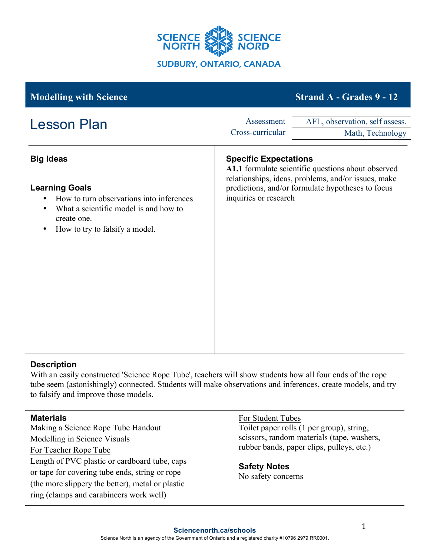

| <b>Modelling with Science</b>                                                                                                                        |                                | <b>Strand A - Grades 9 - 12</b>                                                                                                                                |
|------------------------------------------------------------------------------------------------------------------------------------------------------|--------------------------------|----------------------------------------------------------------------------------------------------------------------------------------------------------------|
| <b>Lesson Plan</b>                                                                                                                                   | Assessment<br>Cross-curricular | AFL, observation, self assess.<br>Math, Technology                                                                                                             |
| <b>Big Ideas</b><br><b>Learning Goals</b>                                                                                                            | <b>Specific Expectations</b>   | A1.1 formulate scientific questions about observed<br>relationships, ideas, problems, and/or issues, make<br>predictions, and/or formulate hypotheses to focus |
| How to turn observations into inferences<br>What a scientific model is and how to<br>٠<br>create one.<br>How to try to falsify a model.<br>$\bullet$ | inquiries or research          |                                                                                                                                                                |

## **Description**

With an easily constructed 'Science Rope Tube', teachers will show students how all four ends of the rope tube seem (astonishingly) connected. Students will make observations and inferences, create models, and try to falsify and improve those models.

## **Materials**

Making a Science Rope Tube Handout Modelling in Science Visuals For Teacher Rope Tube Length of PVC plastic or cardboard tube, caps or tape for covering tube ends, string or rope (the more slippery the better), metal or plastic ring (clamps and carabineers work well)

## For Student Tubes Toilet paper rolls (1 per group), string, scissors, random materials (tape, washers, rubber bands, paper clips, pulleys, etc.)

**Safety Notes** No safety concerns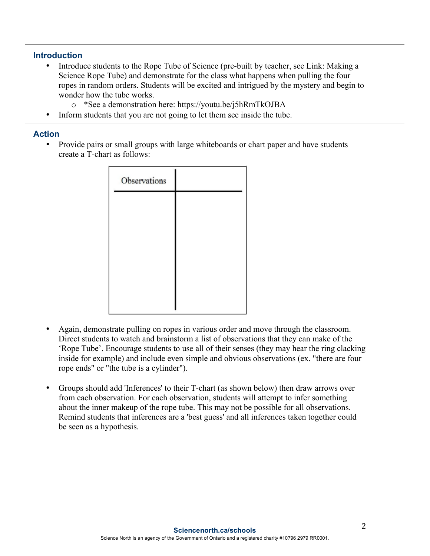### **Introduction**

- Introduce students to the Rope Tube of Science (pre-built by teacher, see Link: Making a Science Rope Tube) and demonstrate for the class what happens when pulling the four ropes in random orders. Students will be excited and intrigued by the mystery and begin to wonder how the tube works.
	- o \*See a demonstration here: https://youtu.be/j5hRmTkOJBA
- Inform students that you are not going to let them see inside the tube.

#### **Action**

• Provide pairs or small groups with large whiteboards or chart paper and have students create a T-chart as follows:

| Observations |  |
|--------------|--|
|              |  |
|              |  |
|              |  |
|              |  |
|              |  |

- Again, demonstrate pulling on ropes in various order and move through the classroom. Direct students to watch and brainstorm a list of observations that they can make of the 'Rope Tube'. Encourage students to use all of their senses (they may hear the ring clacking inside for example) and include even simple and obvious observations (ex. "there are four rope ends" or "the tube is a cylinder").
- Groups should add 'Inferences' to their T-chart (as shown below) then draw arrows over from each observation. For each observation, students will attempt to infer something about the inner makeup of the rope tube. This may not be possible for all observations. Remind students that inferences are a 'best guess' and all inferences taken together could be seen as a hypothesis.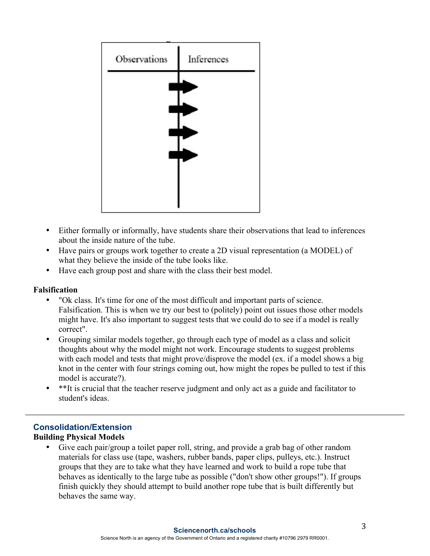| Observations | Inferences |  |
|--------------|------------|--|
|              |            |  |
|              |            |  |
|              |            |  |
|              |            |  |
|              |            |  |

- Either formally or informally, have students share their observations that lead to inferences about the inside nature of the tube.
- Have pairs or groups work together to create a 2D visual representation (a MODEL) of what they believe the inside of the tube looks like.
- Have each group post and share with the class their best model.

## **Falsification**

- "Ok class. It's time for one of the most difficult and important parts of science. Falsification. This is when we try our best to (politely) point out issues those other models might have. It's also important to suggest tests that we could do to see if a model is really correct".
- Grouping similar models together, go through each type of model as a class and solicit thoughts about why the model might not work. Encourage students to suggest problems with each model and tests that might prove/disprove the model (ex. if a model shows a big knot in the center with four strings coming out, how might the ropes be pulled to test if this model is accurate?).
- \*\*It is crucial that the teacher reserve judgment and only act as a guide and facilitator to student's ideas.

# **Consolidation/Extension**

## **Building Physical Models**

Give each pair/group a toilet paper roll, string, and provide a grab bag of other random materials for class use (tape, washers, rubber bands, paper clips, pulleys, etc.). Instruct groups that they are to take what they have learned and work to build a rope tube that behaves as identically to the large tube as possible ("don't show other groups!"). If groups finish quickly they should attempt to build another rope tube that is built differently but behaves the same way.